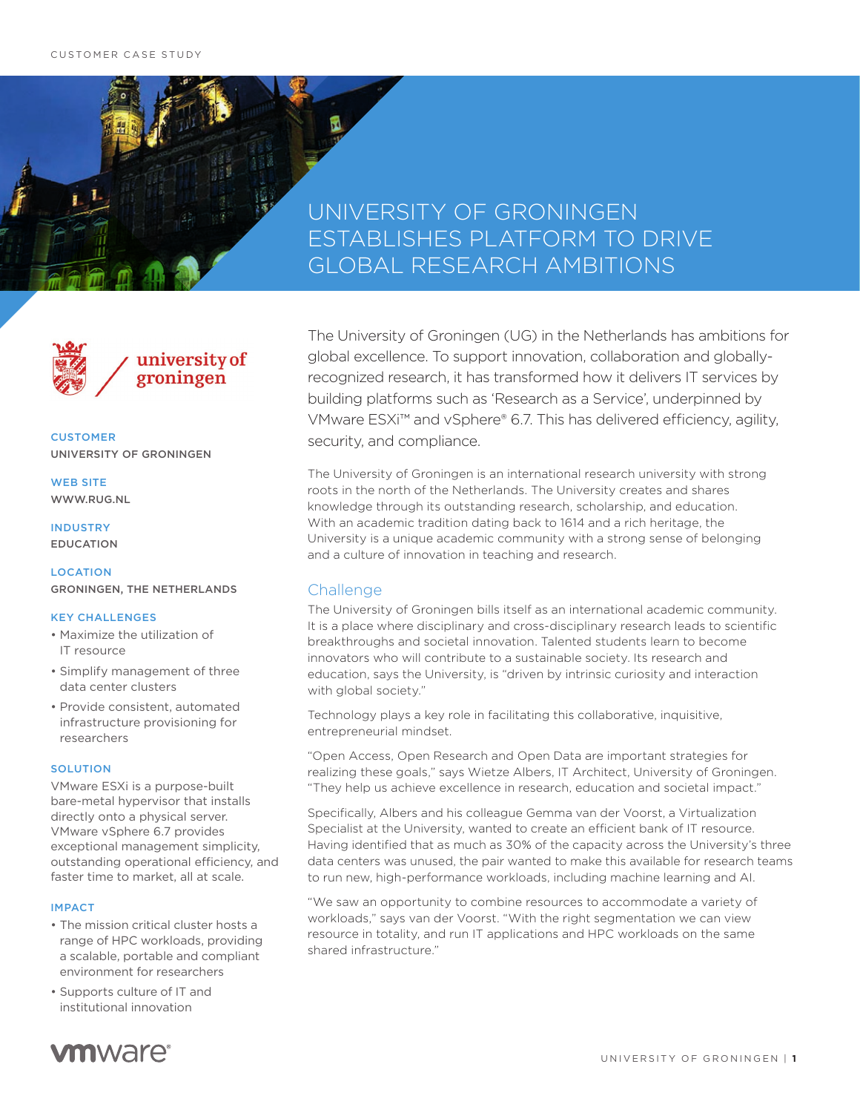# UNIVERSITY OF GRONINGEN ESTABLISHES PLATFORM TO DRIVE GLOBAL RESEARCH AMBITIONS



**CUSTOMER** UNIVERSITY OF GRONINGEN

WEB SITE WWW.RUG.NL

### INDUSTRY EDUCATION

LOCATION

GRONINGEN, THE NETHERLANDS

### KEY CHALLENGES

- Maximize the utilization of IT resource
- Simplify management of three data center clusters
- Provide consistent, automated infrastructure provisioning for researchers

### **SOLUTION**

VMware ESXi is a purpose-built bare-metal hypervisor that installs directly onto a physical server. VMware vSphere 6.7 provides exceptional management simplicity, outstanding operational efficiency, and faster time to market, all at scale.

#### IMPACT

- The mission critical cluster hosts a range of HPC workloads, providing a scalable, portable and compliant environment for researchers
- Supports culture of IT and institutional innovation

The University of Groningen (UG) in the Netherlands has ambitions for global excellence. To support innovation, collaboration and globallyrecognized research, it has transformed how it delivers IT services by building platforms such as 'Research as a Service', underpinned by VMware ESXi™ and vSphere® 6.7. This has delivered efficiency, agility, security, and compliance.

The University of Groningen is an international research university with strong roots in the north of the Netherlands. The University creates and shares knowledge through its outstanding research, scholarship, and education. With an academic tradition dating back to 1614 and a rich heritage, the University is a unique academic community with a strong sense of belonging and a culture of innovation in teaching and research.

## **Challenge**

The University of Groningen bills itself as an international academic community. It is a place where disciplinary and cross-disciplinary research leads to scientific breakthroughs and societal innovation. Talented students learn to become innovators who will contribute to a sustainable society. Its research and education, says the University, is "driven by intrinsic curiosity and interaction with global society."

Technology plays a key role in facilitating this collaborative, inquisitive, entrepreneurial mindset.

"Open Access, Open Research and Open Data are important strategies for realizing these goals," says Wietze Albers, IT Architect, University of Groningen. "They help us achieve excellence in research, education and societal impact."

Specifically, Albers and his colleague Gemma van der Voorst, a Virtualization Specialist at the University, wanted to create an efficient bank of IT resource. Having identified that as much as 30% of the capacity across the University's three data centers was unused, the pair wanted to make this available for research teams to run new, high-performance workloads, including machine learning and AI.

"We saw an opportunity to combine resources to accommodate a variety of workloads," says van der Voorst. "With the right segmentation we can view resource in totality, and run IT applications and HPC workloads on the same shared infrastructure."

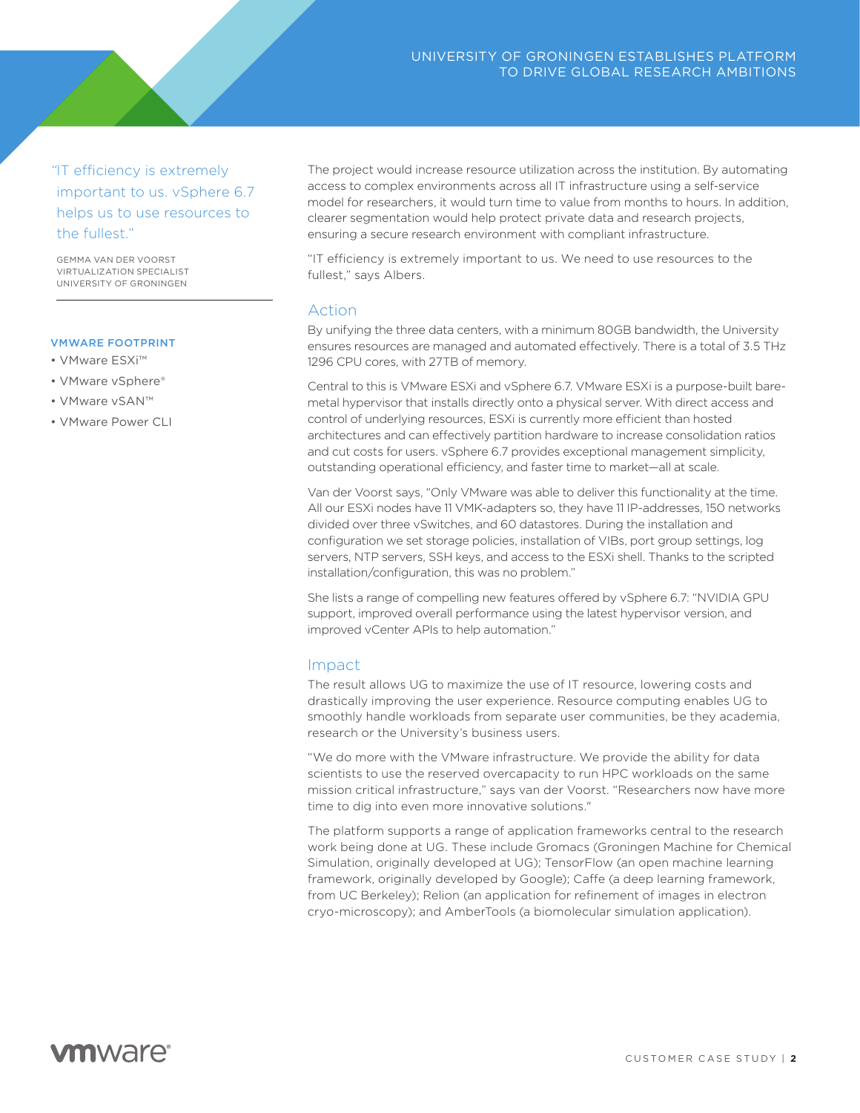*"*IT efficiency is extremely important to us. vSphere 6.7 helps us to use resources to the fullest."

GEMMA VAN DER VOORST VIRTUALIZATION SPECIALIST UNIVERSITY OF GRONINGEN

### VMWARE FOOTPRINT

- VMware ESXi™
- VMware vSphere®
- VMware vSAN™
- VMware Power CLI

The project would increase resource utilization across the institution. By automating access to complex environments across all IT infrastructure using a self-service model for researchers, it would turn time to value from months to hours. In addition, clearer segmentation would help protect private data and research projects, ensuring a secure research environment with compliant infrastructure.

"IT efficiency is extremely important to us. We need to use resources to the fullest," says Albers.

## Action

By unifying the three data centers, with a minimum 80GB bandwidth, the University ensures resources are managed and automated effectively. There is a total of 3.5 THz 1296 CPU cores, with 27TB of memory.

Central to this is VMware ESXi and vSphere 6.7. VMware ESXi is a purpose-built baremetal hypervisor that installs directly onto a physical server. With direct access and control of underlying resources, ESXi is currently more efficient than hosted architectures and can effectively partition hardware to increase consolidation ratios and cut costs for users. vSphere 6.7 provides exceptional management simplicity, outstanding operational efficiency, and faster time to market—all at scale.

Van der Voorst says, "Only VMware was able to deliver this functionality at the time. All our ESXi nodes have 11 VMK-adapters so, they have 11 IP-addresses, 150 networks divided over three vSwitches, and 60 datastores. During the installation and configuration we set storage policies, installation of VIBs, port group settings, log servers, NTP servers, SSH keys, and access to the ESXi shell. Thanks to the scripted installation/configuration, this was no problem."

She lists a range of compelling new features offered by vSphere 6.7: "NVIDIA GPU support, improved overall performance using the latest hypervisor version, and improved vCenter APIs to help automation."

### Impact

The result allows UG to maximize the use of IT resource, lowering costs and drastically improving the user experience. Resource computing enables UG to smoothly handle workloads from separate user communities, be they academia, research or the University's business users.

"We do more with the VMware infrastructure. We provide the ability for data scientists to use the reserved overcapacity to run HPC workloads on the same mission critical infrastructure," says van der Voorst. "Researchers now have more time to dig into even more innovative solutions."

The platform supports a range of application frameworks central to the research work being done at UG. These include Gromacs (Groningen Machine for Chemical Simulation, originally developed at UG); TensorFlow (an open machine learning framework, originally developed by Google); Caffe (a deep learning framework, from UC Berkeley); Relion (an application for refinement of images in electron cryo-microscopy); and AmberTools (a biomolecular simulation application).

# **vm**ware<sup>®</sup>